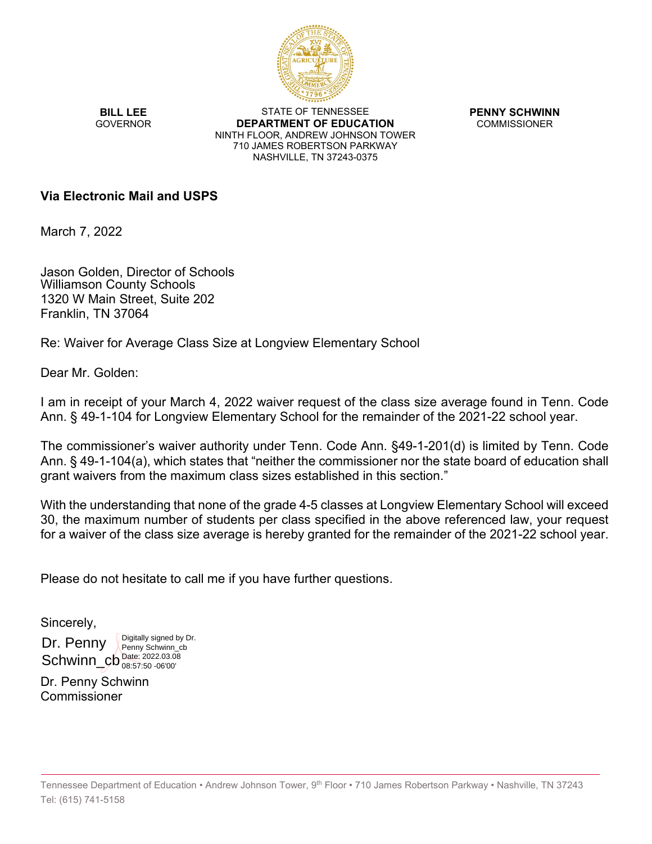

**BILL LEE GOVERNOR** 

STATE OF TENNESSEE **DEPARTMENT OF EDUCATION** NINTH FLOOR, ANDREW JOHNSON TOWER 710 JAMES ROBERTSON PARKWAY NASHVILLE, TN 37243-0375

**PENNY SCHWINN** COMMISSIONER

### **Via Electronic Mail and USPS**

March 7, 2022

Jason Golden, Director of Schools Williamson County Schools 1320 W Main Street, Suite 202 Franklin, TN 37064

Re: Waiver for Average Class Size at Longview Elementary School

Dear Mr. Golden:

I am in receipt of your March 4, 2022 waiver request of the class size average found in Tenn. Code Ann. § 49-1-104 for Longview Elementary School for the remainder of the 2021-22 school year.

The commissioner's waiver authority under Tenn. Code Ann. §49-1-201(d) is limited by Tenn. Code Ann. § 49-1-104(a), which states that "neither the commissioner nor the state board of education shall grant waivers from the maximum class sizes established in this section."

With the understanding that none of the grade 4-5 classes at Longview Elementary School will exceed 30, the maximum number of students per class specified in the above referenced law, your request for a waiver of the class size average is hereby granted for the remainder of the 2021-22 school year.

Please do not hesitate to call me if you have further questions.

Sincerely, Dr. Penny Schwinn Commissioner Dr. Penny Schwinn\_cb<sup>Date: 2022.03.08</sup> Digitally signed by Dr. Penny Schwinn\_cb 08:57:50 -06'00'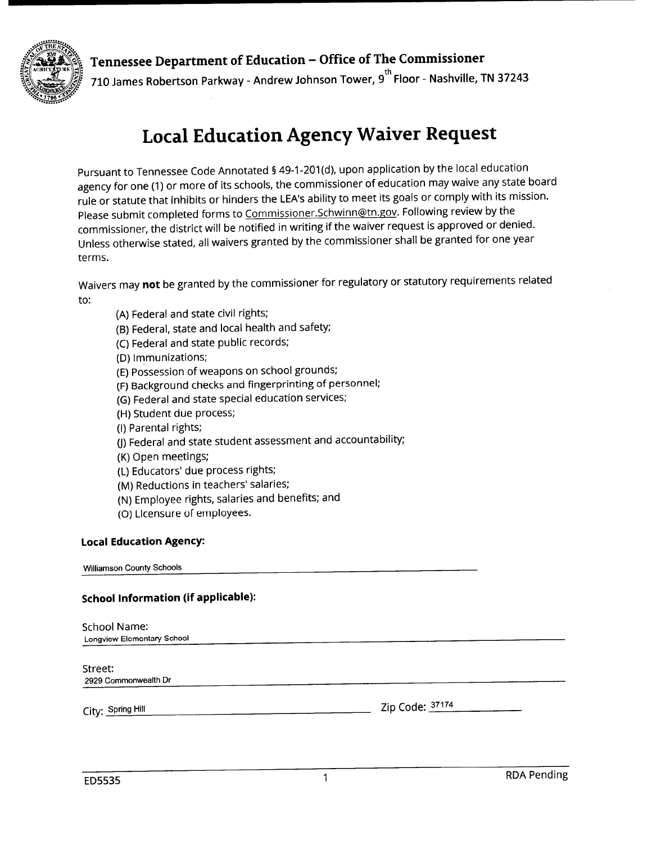

## Tennessee Department of Education - Office of The Commissioner

710 James Robertson Parkway - Andrew Johnson Tower, 9<sup>th</sup> Floor - Nashville, TN 37243

# **Local Education Agency Waiver Request**

Pursuant to Tennessee Code Annotated § 49-1-201(d), upon application by the local education agency for one (1) or more of its schools, the commissioner of education may waive any state board rule or statute that inhibits or hinders the LEA's ability to meet its goals or comply with its mission. Please submit completed forms to Commissioner.Schwinn@tn.gov. Following review by the commissioner, the district will be notified in writing if the waiver request is approved or denied. Unless otherwise stated, all waivers granted by the commissioner shall be granted for one year terms.

Waivers may not be granted by the commissioner for regulatory or statutory requirements related to:

- (A) Federal and state civil rights;
- (B) Federal, state and local health and safety;
- (C) Federal and state public records;
- (D) Immunizations;
- (E) Possession of weapons on school grounds;
- (F) Background checks and fingerprinting of personnel;
- (G) Federal and state special education services;
- (H) Student due process;
- (I) Parental rights;
- (J) Federal and state student assessment and accountability;
- (K) Open meetings;
- (L) Educators' due process rights;
- (M) Reductions in teachers' salaries;
- (N) Employee rights, salaries and benefits; and
- (O) Licensure of employees.

### **Local Education Agency:**

Williamson County Schools

### **School Information (if applicable):**

| School Name:<br><b>Longview Elementary School</b> |                 |
|---------------------------------------------------|-----------------|
| Street:<br>2929 Commonwealth Dr                   |                 |
| City: Spring Hill                                 | Zip Code: 37174 |